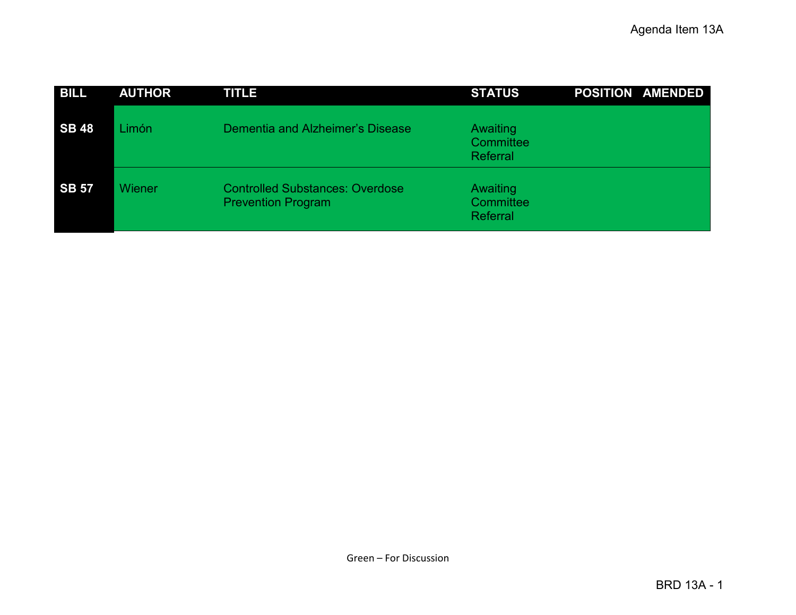| <b>BILL</b>  | <b>AUTHOR</b> | <b>TITLE</b>                                                        | <b>STATUS</b>                     | <b>POSITION AMENDED</b> |
|--------------|---------------|---------------------------------------------------------------------|-----------------------------------|-------------------------|
| <b>SB 48</b> | Limón         | Dementia and Alzheimer's Disease                                    | Awaiting<br>Committee<br>Referral |                         |
| <b>SB 57</b> | Wiener        | <b>Controlled Substances: Overdose</b><br><b>Prevention Program</b> | Awaiting<br>Committee<br>Referral |                         |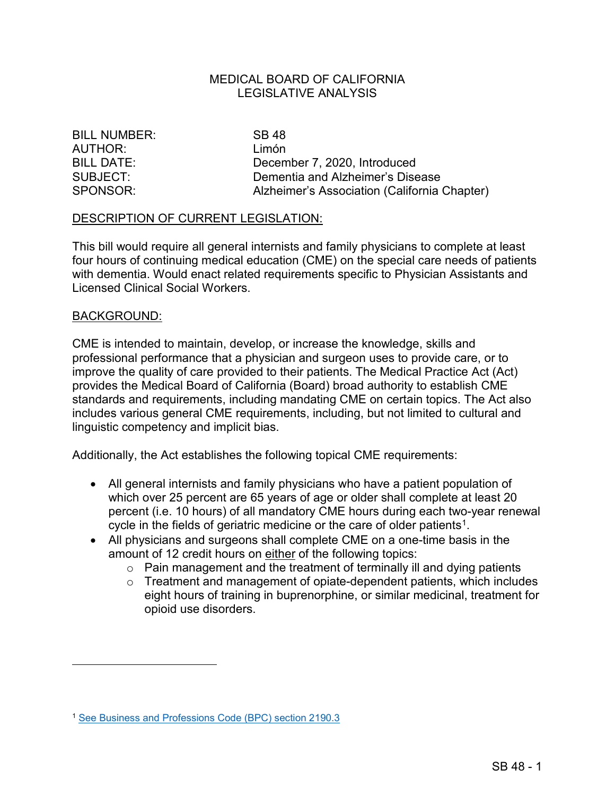### MEDICAL BOARD OF CALIFORNIA LEGISLATIVE ANALYSIS

BILL NUMBER: SB 48 AUTHOR: Limón

BILL DATE: December 7, 2020, Introduced SUBJECT: Dementia and Alzheimer's Disease SPONSOR: Alzheimer's Association (California Chapter)

#### DESCRIPTION OF CURRENT LEGISLATION:

 four hours of continuing medical education (CME) on the special care needs of patients Licensed Clinical Social Workers.<br><u>BACKGROUND:</u> This bill would require all general internists and family physicians to complete at least with dementia. Would enact related requirements specific to Physician Assistants and

 CME is intended to maintain, develop, or increase the knowledge, skills and includes various general CME requirements, including, but not limited to cultural and professional performance that a physician and surgeon uses to provide care, or to improve the quality of care provided to their patients. The Medical Practice Act (Act) provides the Medical Board of California (Board) broad authority to establish CME standards and requirements, including mandating CME on certain topics. The Act also linguistic competency and implicit bias.

Additionally, the Act establishes the following topical CME requirements:

- which over 25 percent are 65 years of age or older shall complete at least 20 cycle in the fields of geriatric medicine or the care of older patients<sup>1</sup>. • All general internists and family physicians who have a patient population of percent (i.e. 10 hours) of all mandatory CME hours during each two-year renewal
- All physicians and surgeons shall complete CME on a one-time basis in the amount of 12 credit hours on either of the following topics:
	- $\circ$  Pain management and the treatment of terminally ill and dying patients
	- o Treatment and management of opiate-dependent patients, which includes eight hours of training in buprenorphine, or similar medicinal, treatment for opioid use disorders.

<span id="page-1-0"></span><sup>1</sup> [See Business and Professions Code \(BPC\) section 2190.3](http://leginfo.legislature.ca.gov/faces/codes_displaySection.xhtml?sectionNum=2190.3&lawCode=BPC)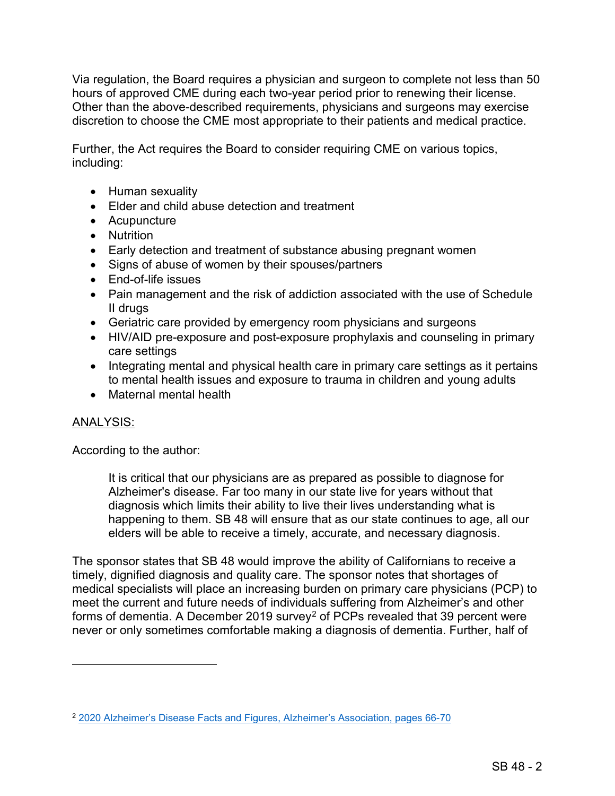discretion to choose the CME most appropriate to their patients and medical practice. Via regulation, the Board requires a physician and surgeon to complete not less than 50 hours of approved CME during each two-year period prior to renewing their license. Other than the above-described requirements, physicians and surgeons may exercise

Further, the Act requires the Board to consider requiring CME on various topics, including:

- Human sexuality
- Elder and child abuse detection and treatment
- Acupuncture
- Nutrition
- Early detection and treatment of substance abusing pregnant women
- Signs of abuse of women by their spouses/partners
- End-of-life issues
- • Pain management and the risk of addiction associated with the use of Schedule II drugs
- Geriatric care provided by emergency room physicians and surgeons
- HIV/AID pre-exposure and post-exposure prophylaxis and counseling in primary care settings
- Integrating mental and physical health care in primary care settings as it pertains to mental health issues and exposure to trauma in children and young adults
- Maternal mental health

# ANALYSIS:

 $\overline{a}$ 

According to the author:

 happening to them. SB 48 will ensure that as our state continues to age, all our It is critical that our physicians are as prepared as possible to diagnose for Alzheimer's disease. Far too many in our state live for years without that diagnosis which limits their ability to live their lives understanding what is elders will be able to receive a timely, accurate, and necessary diagnosis.

 The sponsor states that SB 48 would improve the ability of Californians to receive a timely, dignified diagnosis and quality care. The sponsor notes that shortages of medical specialists will place an increasing burden on primary care physicians (PCP) to meet the current and future needs of individuals suffering from Alzheimer's and other never or only sometimes comfortable making a diagnosis of dementia. Further, half of forms of dementia. A December [2](#page-2-0)019 survey<sup>2</sup> of PCPs revealed that 39 percent were

<span id="page-2-0"></span><sup>2</sup> [2020 Alzheimer's Disease Facts and Figures, Alzheimer's Association, pages 66-70](https://www.alz.org/news/2020/primary-care-physicians-on-the-front-lines-of-diag)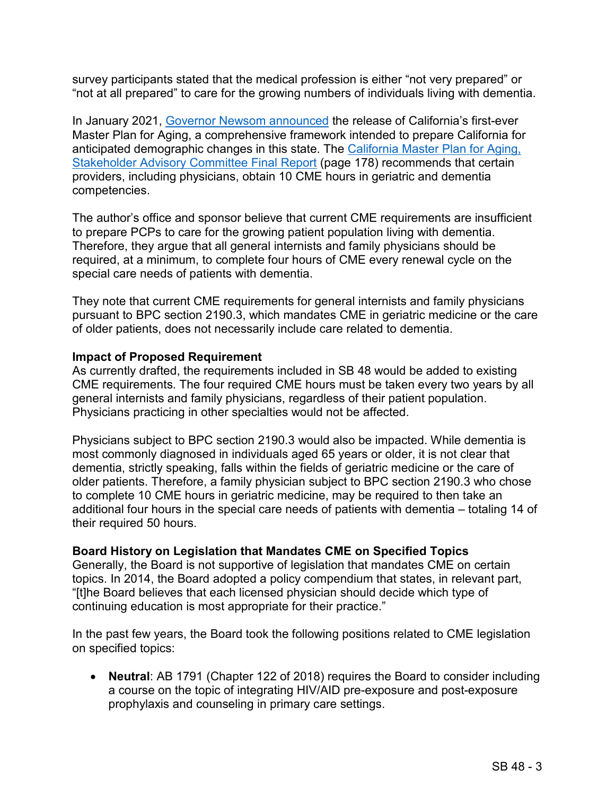survey participants stated that the medical profession is either "not very prepared" or "not at all prepared" to care for the growing numbers of individuals living with dementia.

 Master Plan for Aging, a comprehensive framework intended to prepare California for In January 2021, [Governor Newsom announced](https://www.chhs.ca.gov/blog/2021/01/06/california-releases-first-ever-master-plan-for-aging/) the release of California's first-ever anticipated demographic changes in this state. The California Master Plan for Aging, [Stakeholder Advisory Committee Final Report](https://chhs-data-prod.s3.us-west-2.amazonaws.com/uploads/2020/10/02140614/Master-Plan-for-Aging-Stakeholder-Advisory-Committee-Full-Report-accessible.pdf) (page 178) recommends that certain providers, including physicians, obtain 10 CME hours in geriatric and dementia competencies.

 to prepare PCPs to care for the growing patient population living with dementia. required, at a minimum, to complete four hours of CME every renewal cycle on the special care needs of patients with dementia. The author's office and sponsor believe that current CME requirements are insufficient Therefore, they argue that all general internists and family physicians should be

 They note that current CME requirements for general internists and family physicians of older patients, does not necessarily include care related to dementia. pursuant to BPC section 2190.3, which mandates CME in geriatric medicine or the care

### **Impact of Proposed Requirement**

 general internists and family physicians, regardless of their patient population. As currently drafted, the requirements included in SB 48 would be added to existing CME requirements. The four required CME hours must be taken every two years by all Physicians practicing in other specialties would not be affected.

 additional four hours in the special care needs of patients with dementia – totaling 14 of Physicians subject to BPC section 2190.3 would also be impacted. While dementia is most commonly diagnosed in individuals aged 65 years or older, it is not clear that dementia, strictly speaking, falls within the fields of geriatric medicine or the care of older patients. Therefore, a family physician subject to BPC section 2190.3 who chose to complete 10 CME hours in geriatric medicine, may be required to then take an their required 50 hours.

## **Board History on Legislation that Mandates CME on Specified Topics**

 Generally, the Board is not supportive of legislation that mandates CME on certain topics. In 2014, the Board adopted a policy compendium that states, in relevant part, "[t]he Board believes that each licensed physician should decide which type of continuing education is most appropriate for their practice."

 In the past few years, the Board took the following positions related to CME legislation on specified topics:

 • **Neutral**: AB 1791 (Chapter 122 of 2018) requires the Board to consider including a course on the topic of integrating HIV/AID pre-exposure and post-exposure prophylaxis and counseling in primary care settings.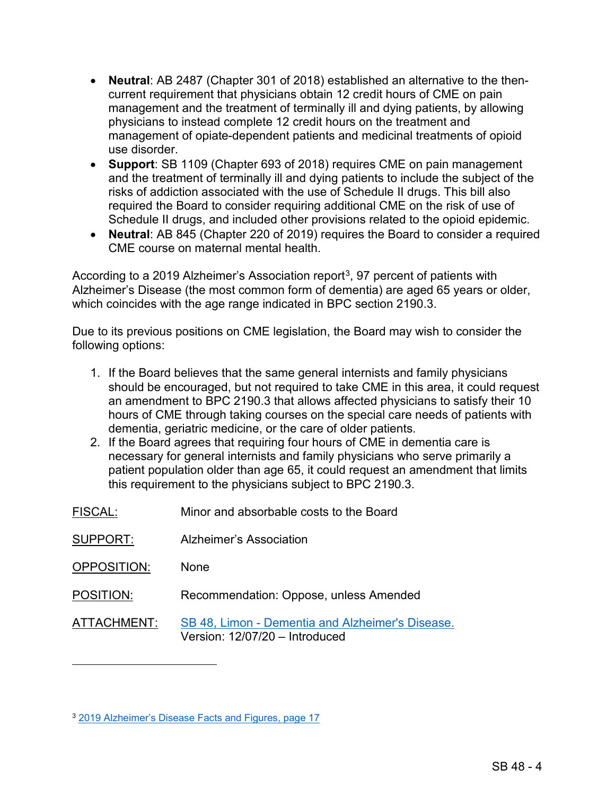- • **Neutral**: AB 2487 (Chapter 301 of 2018) established an alternative to the then- current requirement that physicians obtain 12 credit hours of CME on pain management and the treatment of terminally ill and dying patients, by allowing physicians to instead complete 12 credit hours on the treatment and management of opiate-dependent patients and medicinal treatments of opioid use disorder.
- • **Support**: SB 1109 (Chapter 693 of 2018) requires CME on pain management and the treatment of terminally ill and dying patients to include the subject of the risks of addiction associated with the use of Schedule II drugs. This bill also required the Board to consider requiring additional CME on the risk of use of Schedule II drugs, and included other provisions related to the opioid epidemic.
- • **Neutral**: AB 845 (Chapter 220 of 2019) requires the Board to consider a required CME course on maternal mental health.

According to a 2019 Alzheimer's Association report $^3$ , 97 percent of patients with Alzheimer's Disease (the most common form of dementia) are aged 65 years or older, which coincides with the age range indicated in BPC section 2190.3.

 Due to its previous positions on CME legislation, the Board may wish to consider the following options:

- 1. If the Board believes that the same general internists and family physicians should be encouraged, but not required to take CME in this area, it could request an amendment to BPC 2190.3 that allows affected physicians to satisfy their 10 hours of CME through taking courses on the special care needs of patients with dementia, geriatric medicine, or the care of older patients.
- 2. If the Board agrees that requiring four hours of CME in dementia care is necessary for general internists and family physicians who serve primarily a patient population older than age 65, it could request an amendment that limits this requirement to the physicians subject to BPC 2190.3.
- FISCAL: Minor and absorbable costs to the Board
- SUPPORT: Alzheimer's Association
- OPPOSITION: None

 $\overline{a}$ 

POSITION: Recommendation: Oppose, unless Amended

ATTACHMENT: SB 48, Limon - [Dementia and Alzheimer's Disease.](http://leginfo.legislature.ca.gov/faces/billNavClient.xhtml?bill_id=202120220SB48)  Version: 12/07/20 – Introduced

<span id="page-4-0"></span><sup>3</sup> [2019 Alzheimer's Disease Facts and Figures, page 17](https://www.alz.org/media/documents/alzheimers-facts-and-figures-2019-r.pdf)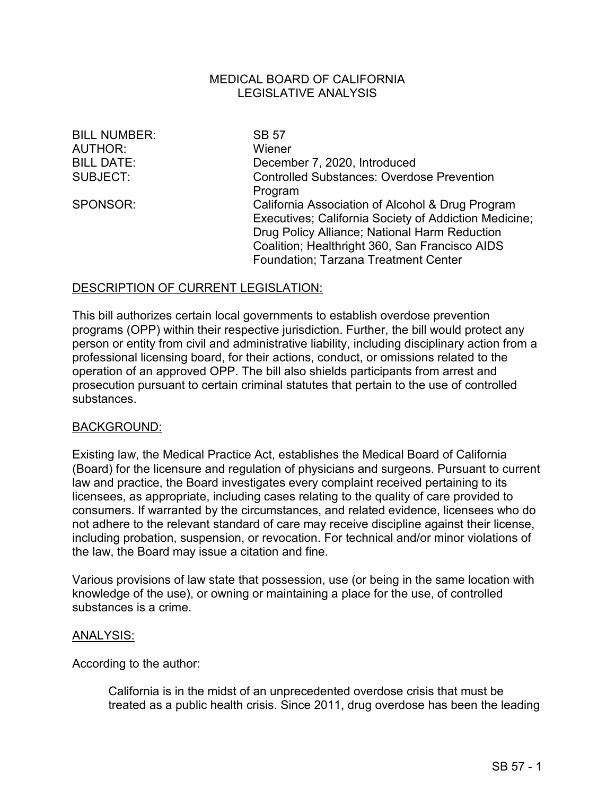### MEDICAL BOARD OF CALIFORNIA LEGISLATIVE ANALYSIS

BILL NUMBER: SB 57 AUTHOR: Wiener

BILL DATE: December 7, 2020, Introduced SUBJECT: Controlled Substances: Overdose Prevention Program SPONSOR: California Association of Alcohol & Drug Program Executives; California Society of Addiction Medicine; Drug Policy Alliance; National Harm Reduction Coalition; Healthright 360, San Francisco AIDS Foundation; Tarzana Treatment Center

# DESCRIPTION OF CURRENT LEGISLATION:

 professional licensing board, for their actions, conduct, or omissions related to the operation of an approved OPP. The bill also shields participants from arrest and This bill authorizes certain local governments to establish overdose prevention programs (OPP) within their respective jurisdiction. Further, the bill would protect any person or entity from civil and administrative liability, including disciplinary action from a prosecution pursuant to certain criminal statutes that pertain to the use of controlled substances.

#### BACKGROUND:

 not adhere to the relevant standard of care may receive discipline against their license, including probation, suspension, or revocation. For technical and/or minor violations of Existing law, the Medical Practice Act, establishes the Medical Board of California (Board) for the licensure and regulation of physicians and surgeons. Pursuant to current law and practice, the Board investigates every complaint received pertaining to its licensees, as appropriate, including cases relating to the quality of care provided to consumers. If warranted by the circumstances, and related evidence, licensees who do the law, the Board may issue a citation and fine.

 Various provisions of law state that possession, use (or being in the same location with knowledge of the use), or owning or maintaining a place for the use, of controlled substances is a crime.

#### ANALYSIS:

According to the author:

California is in the midst of an unprecedented overdose crisis that must be treated as a public health crisis. Since 2011, drug overdose has been the leading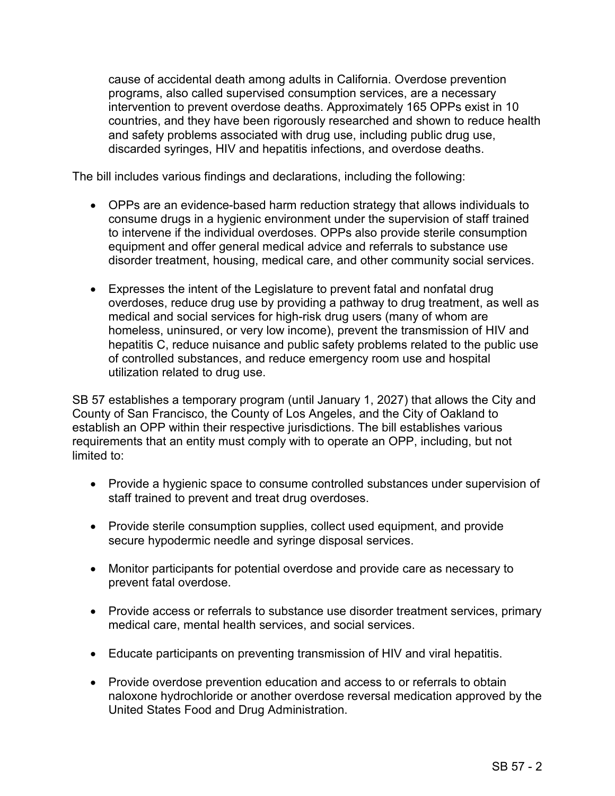and safety problems associated with drug use, including public drug use, cause of accidental death among adults in California. Overdose prevention programs, also called supervised consumption services, are a necessary intervention to prevent overdose deaths. Approximately 165 OPPs exist in 10 countries, and they have been rigorously researched and shown to reduce health discarded syringes, HIV and hepatitis infections, and overdose deaths.

The bill includes various findings and declarations, including the following:

- OPPs are an evidence-based harm reduction strategy that allows individuals to consume drugs in a hygienic environment under the supervision of staff trained to intervene if the individual overdoses. OPPs also provide sterile consumption equipment and offer general medical advice and referrals to substance use disorder treatment, housing, medical care, and other community social services.
- • Expresses the intent of the Legislature to prevent fatal and nonfatal drug homeless, uninsured, or very low income), prevent the transmission of HIV and overdoses, reduce drug use by providing a pathway to drug treatment, as well as medical and social services for high-risk drug users (many of whom are hepatitis C, reduce nuisance and public safety problems related to the public use of controlled substances, and reduce emergency room use and hospital utilization related to drug use.

 County of San Francisco, the County of Los Angeles, and the City of Oakland to SB 57 establishes a temporary program (until January 1, 2027) that allows the City and establish an OPP within their respective jurisdictions. The bill establishes various requirements that an entity must comply with to operate an OPP, including, but not limited to:

- staff trained to prevent and treat drug overdoses. • Provide a hygienic space to consume controlled substances under supervision of
- Provide sterile consumption supplies, collect used equipment, and provide secure hypodermic needle and syringe disposal services.
- Monitor participants for potential overdose and provide care as necessary to prevent fatal overdose.
- Provide access or referrals to substance use disorder treatment services, primary medical care, mental health services, and social services.
- Educate participants on preventing transmission of HIV and viral hepatitis.
- Provide overdose prevention education and access to or referrals to obtain naloxone hydrochloride or another overdose reversal medication approved by the United States Food and Drug Administration.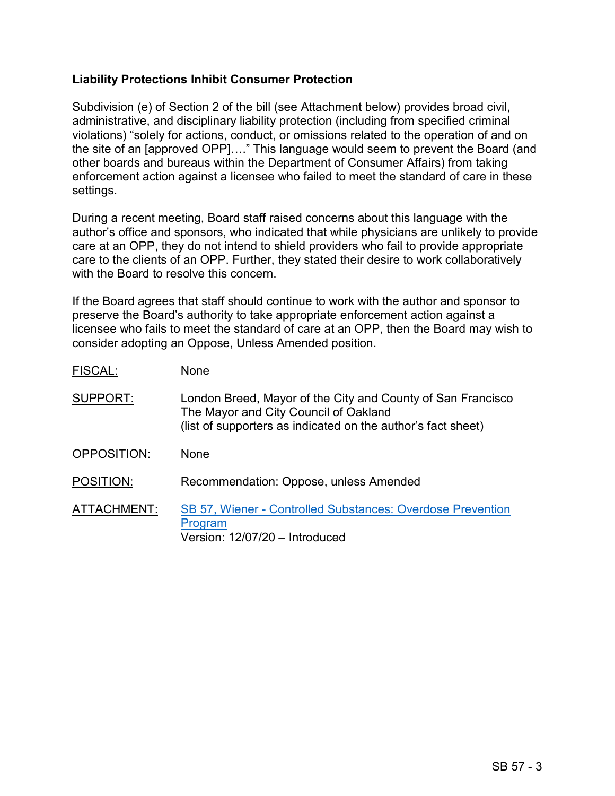# **Liability Protections Inhibit Consumer Protection**

FISCAL: None

 Subdivision (e) of Section 2 of the bill (see Attachment below) provides broad civil, administrative, and disciplinary liability protection (including from specified criminal violations) "solely for actions, conduct, or omissions related to the operation of and on the site of an [approved OPP]…." This language would seem to prevent the Board (and other boards and bureaus within the Department of Consumer Affairs) from taking enforcement action against a licensee who failed to meet the standard of care in these settings.

 During a recent meeting, Board staff raised concerns about this language with the author's office and sponsors, who indicated that while physicians are unlikely to provide care at an OPP, they do not intend to shield providers who fail to provide appropriate care to the clients of an OPP. Further, they stated their desire to work collaboratively with the Board to resolve this concern.

 consider adopting an Oppose, Unless Amended position. If the Board agrees that staff should continue to work with the author and sponsor to preserve the Board's authority to take appropriate enforcement action against a licensee who fails to meet the standard of care at an OPP, then the Board may wish to

| LIJUAL.     | <u>IVULIC</u>                                                                                                                                                        |
|-------------|----------------------------------------------------------------------------------------------------------------------------------------------------------------------|
| SUPPORT:    | London Breed, Mayor of the City and County of San Francisco<br>The Mayor and City Council of Oakland<br>(list of supporters as indicated on the author's fact sheet) |
| OPPOSITION: | <b>None</b>                                                                                                                                                          |
| POSITION:   | Recommendation: Oppose, unless Amended                                                                                                                               |
| ATTACHMENT: | <b>SB 57, Wiener - Controlled Substances: Overdose Prevention</b><br>Program<br>Version: 12/07/20 - Introduced                                                       |